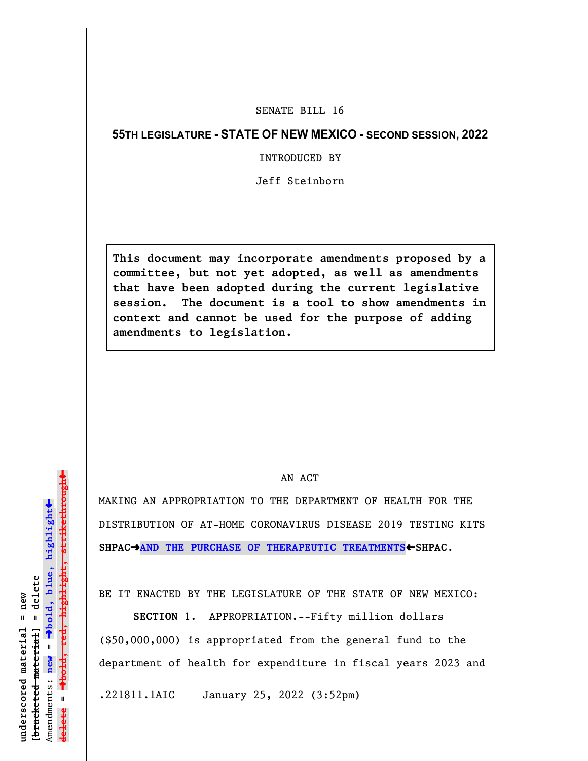## SENATE BILL 16

## **55TH LEGISLATURE - STATE OF NEW MEXICO - SECOND SESSION, 2022**

INTRODUCED BY

Jeff Steinborn

**This document may incorporate amendments proposed by a committee, but not yet adopted, as well as amendments that have been adopted during the current legislative session. The document is a tool to show amendments in context and cannot be used for the purpose of adding amendments to legislation.**

## AN ACT

MAKING AN APPROPRIATION TO THE DEPARTMENT OF HEALTH FOR THE DISTRIBUTION OF AT-HOME CORONAVIRUS DISEASE 2019 TESTING KITS SHPAC<sup>+</sup>AND THE PURCHASE OF THERAPEUTIC TREATMENTS<sup>+</sup>SHPAC.

BE IT ENACTED BY THE LEGISLATURE OF THE STATE OF NEW MEXICO:

**SECTION 1.** APPROPRIATION.--Fifty million dollars (\$50,000,000) is appropriated from the general fund to the department of health for expenditure in fiscal years 2023 and

.221811.1AIC January 25, 2022 (3:52pm)

»º**bold, red, highlight, strikethrough** highlight, strikethrou  $\ddot{\bullet}$ º**bold, blue, highlight** bracketed material] = delete **[bracketed material] = delete** inderscored material = new **underscored material = new** Amendments: new = Amendments: **new** =  $\mathbf{u}$ **delete =** lelete